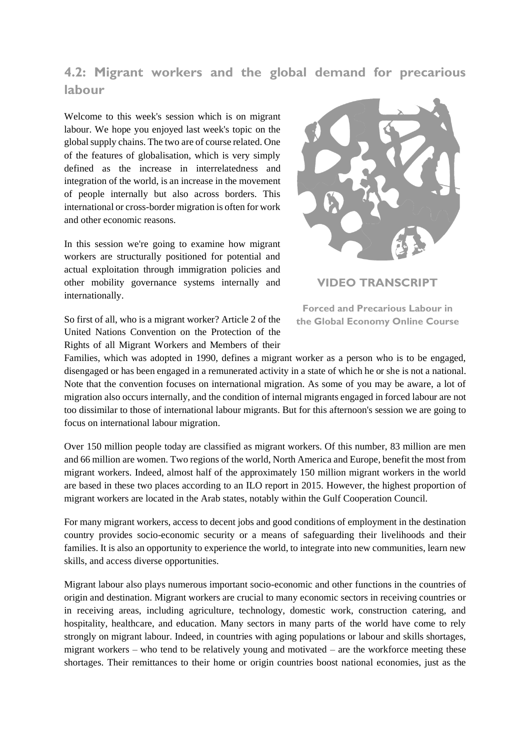## **4.2: Migrant workers and the global demand for precarious labour**

Welcome to this week's session which is on migrant labour. We hope you enjoyed last week's topic on the global supply chains. The two are of course related. One of the features of globalisation, which is very simply defined as the increase in interrelatedness and integration of the world, is an increase in the movement of people internally but also across borders. This international or cross-border migration is often for work and other economic reasons.

In this session we're going to examine how migrant workers are structurally positioned for potential and actual exploitation through immigration policies and other mobility governance systems internally and internationally.

So first of all, who is a migrant worker? Article 2 of the United Nations Convention on the Protection of the Rights of all Migrant Workers and Members of their



**VIDEO TRANSCRIPT**

**Forced and Precarious Labour in the Global Economy Online Course**

Families, which was adopted in 1990, defines a migrant worker as a person who is to be engaged, disengaged or has been engaged in a remunerated activity in a state of which he or she is not a national. Note that the convention focuses on international migration. As some of you may be aware, a lot of migration also occurs internally, and the condition of internal migrants engaged in forced labour are not too dissimilar to those of international labour migrants. But for this afternoon's session we are going to focus on international labour migration.

Over 150 million people today are classified as migrant workers. Of this number, 83 million are men and 66 million are women. Two regions of the world, North America and Europe, benefit the most from migrant workers. Indeed, almost half of the approximately 150 million migrant workers in the world are based in these two places according to an ILO report in 2015. However, the highest proportion of migrant workers are located in the Arab states, notably within the Gulf Cooperation Council.

For many migrant workers, access to decent jobs and good conditions of employment in the destination country provides socio-economic security or a means of safeguarding their livelihoods and their families. It is also an opportunity to experience the world, to integrate into new communities, learn new skills, and access diverse opportunities.

Migrant labour also plays numerous important socio-economic and other functions in the countries of origin and destination. Migrant workers are crucial to many economic sectors in receiving countries or in receiving areas, including agriculture, technology, domestic work, construction catering, and hospitality, healthcare, and education. Many sectors in many parts of the world have come to rely strongly on migrant labour. Indeed, in countries with aging populations or labour and skills shortages, migrant workers – who tend to be relatively young and motivated – are the workforce meeting these shortages. Their remittances to their home or origin countries boost national economies, just as the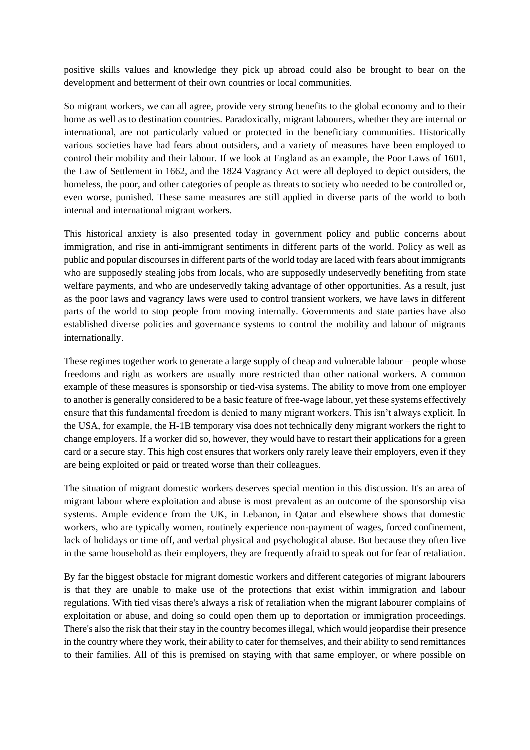positive skills values and knowledge they pick up abroad could also be brought to bear on the development and betterment of their own countries or local communities.

So migrant workers, we can all agree, provide very strong benefits to the global economy and to their home as well as to destination countries. Paradoxically, migrant labourers, whether they are internal or international, are not particularly valued or protected in the beneficiary communities. Historically various societies have had fears about outsiders, and a variety of measures have been employed to control their mobility and their labour. If we look at England as an example, the Poor Laws of 1601, the Law of Settlement in 1662, and the 1824 Vagrancy Act were all deployed to depict outsiders, the homeless, the poor, and other categories of people as threats to society who needed to be controlled or, even worse, punished. These same measures are still applied in diverse parts of the world to both internal and international migrant workers.

This historical anxiety is also presented today in government policy and public concerns about immigration, and rise in anti-immigrant sentiments in different parts of the world. Policy as well as public and popular discourses in different parts of the world today are laced with fears about immigrants who are supposedly stealing jobs from locals, who are supposedly undeservedly benefiting from state welfare payments, and who are undeservedly taking advantage of other opportunities. As a result, just as the poor laws and vagrancy laws were used to control transient workers, we have laws in different parts of the world to stop people from moving internally. Governments and state parties have also established diverse policies and governance systems to control the mobility and labour of migrants internationally.

These regimes together work to generate a large supply of cheap and vulnerable labour – people whose freedoms and right as workers are usually more restricted than other national workers. A common example of these measures is sponsorship or tied-visa systems. The ability to move from one employer to another is generally considered to be a basic feature of free-wage labour, yet these systems effectively ensure that this fundamental freedom is denied to many migrant workers. This isn't always explicit. In the USA, for example, the H-1B temporary visa does not technically deny migrant workers the right to change employers. If a worker did so, however, they would have to restart their applications for a green card or a secure stay. This high cost ensures that workers only rarely leave their employers, even if they are being exploited or paid or treated worse than their colleagues.

The situation of migrant domestic workers deserves special mention in this discussion. It's an area of migrant labour where exploitation and abuse is most prevalent as an outcome of the sponsorship visa systems. Ample evidence from the UK, in Lebanon, in Qatar and elsewhere shows that domestic workers, who are typically women, routinely experience non-payment of wages, forced confinement, lack of holidays or time off, and verbal physical and psychological abuse. But because they often live in the same household as their employers, they are frequently afraid to speak out for fear of retaliation.

By far the biggest obstacle for migrant domestic workers and different categories of migrant labourers is that they are unable to make use of the protections that exist within immigration and labour regulations. With tied visas there's always a risk of retaliation when the migrant labourer complains of exploitation or abuse, and doing so could open them up to deportation or immigration proceedings. There's also the risk that their stay in the country becomes illegal, which would jeopardise their presence in the country where they work, their ability to cater for themselves, and their ability to send remittances to their families. All of this is premised on staying with that same employer, or where possible on